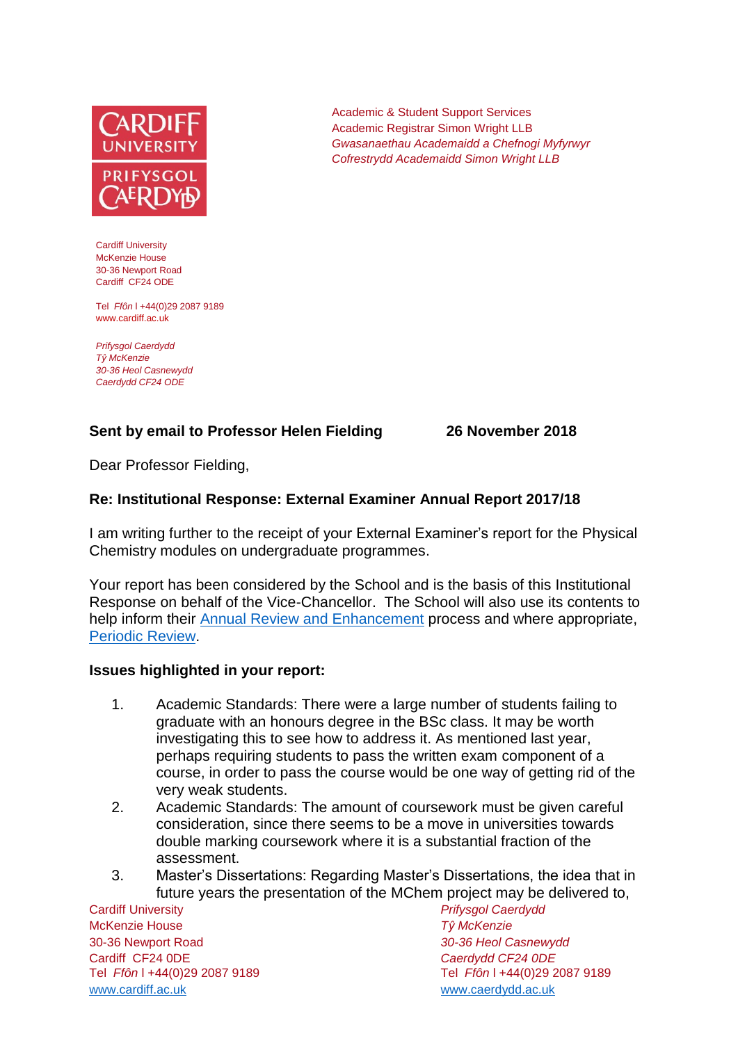

Cardiff University McKenzie House 30-36 Newport Road Cardiff CF24 ODE

Tel *Ffôn* l +44(0)29 2087 9189 www.cardiff.ac.uk

*Prifysgol Caerdydd Tŷ McKenzie 30-36 Heol Casnewydd Caerdydd CF24 ODE*

## **Sent by email to Professor Helen Fielding 26 November 2018**

Academic & Student Support Services Academic Registrar Simon Wright LLB

*Gwasanaethau Academaidd a Chefnogi Myfyrwyr Cofrestrydd Academaidd Simon Wright LLB*

Dear Professor Fielding,

#### **Re: Institutional Response: External Examiner Annual Report 2017/18**

I am writing further to the receipt of your External Examiner's report for the Physical Chemistry modules on undergraduate programmes.

Your report has been considered by the School and is the basis of this Institutional Response on behalf of the Vice-Chancellor. The School will also use its contents to help inform their [Annual Review and Enhancement](https://learningcentral.cf.ac.uk/webapps/portal/execute/tabs/tabAction?tab_tab_group_id=_1_1) process and where appropriate, [Periodic Review.](http://www.cardiff.ac.uk/public-information/quality-and-standards/monitoring-and-review/periodic-review)

#### **Issues highlighted in your report:**

- 1. Academic Standards: There were a large number of students failing to graduate with an honours degree in the BSc class. It may be worth investigating this to see how to address it. As mentioned last year, perhaps requiring students to pass the written exam component of a course, in order to pass the course would be one way of getting rid of the very weak students.
- 2. Academic Standards: The amount of coursework must be given careful consideration, since there seems to be a move in universities towards double marking coursework where it is a substantial fraction of the assessment.
- 3. Master's Dissertations: Regarding Master's Dissertations, the idea that in future years the presentation of the MChem project may be delivered to,

Cardiff University *Prifysgol Caerdydd* McKenzie House *Tŷ McKenzie* 30-36 Newport Road *30-36 Heol Casnewydd* Cardiff CF24 0DE *Caerdydd CF24 0DE* [www.cardiff.ac.uk](http://www.cardiff.ac.uk/) www.cardiff.ac.uk

Tel *Ffôn* l +44(0)29 2087 9189 Tel *Ffôn* l +44(0)29 2087 9189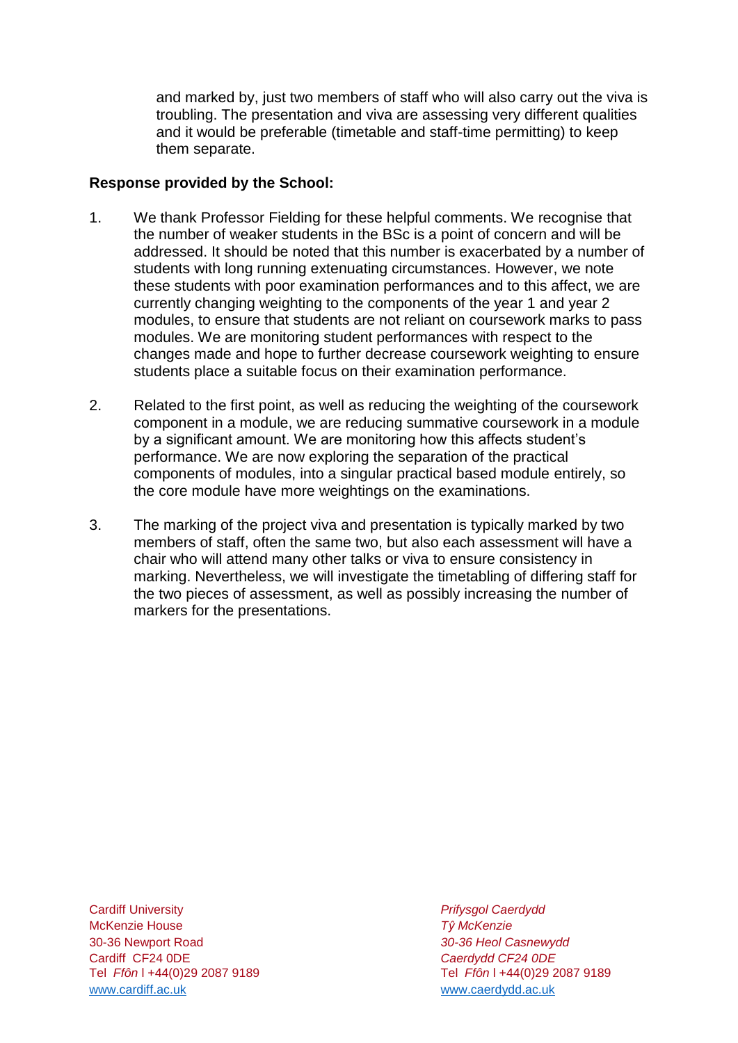and marked by, just two members of staff who will also carry out the viva is troubling. The presentation and viva are assessing very different qualities and it would be preferable (timetable and staff-time permitting) to keep them separate.

### **Response provided by the School:**

- 1. We thank Professor Fielding for these helpful comments. We recognise that the number of weaker students in the BSc is a point of concern and will be addressed. It should be noted that this number is exacerbated by a number of students with long running extenuating circumstances. However, we note these students with poor examination performances and to this affect, we are currently changing weighting to the components of the year 1 and year 2 modules, to ensure that students are not reliant on coursework marks to pass modules. We are monitoring student performances with respect to the changes made and hope to further decrease coursework weighting to ensure students place a suitable focus on their examination performance.
- 2. Related to the first point, as well as reducing the weighting of the coursework component in a module, we are reducing summative coursework in a module by a significant amount. We are monitoring how this affects student's performance. We are now exploring the separation of the practical components of modules, into a singular practical based module entirely, so the core module have more weightings on the examinations.
- 3. The marking of the project viva and presentation is typically marked by two members of staff, often the same two, but also each assessment will have a chair who will attend many other talks or viva to ensure consistency in marking. Nevertheless, we will investigate the timetabling of differing staff for the two pieces of assessment, as well as possibly increasing the number of markers for the presentations.

Cardiff University *Prifysgol Caerdydd* McKenzie House *Tŷ McKenzie* 30-36 Newport Road *30-36 Heol Casnewydd* Tel *Ffôn* l +44(0)29 2087 9189 Tel *Ffôn* l +44(0)29 2087 9189 [www.cardiff.ac.uk](http://www.cardiff.ac.uk/) [www.caerdydd.ac.uk](http://www.caerdydd.ac.uk/)

Cardiff CF24 0DE *Caerdydd CF24 0DE*